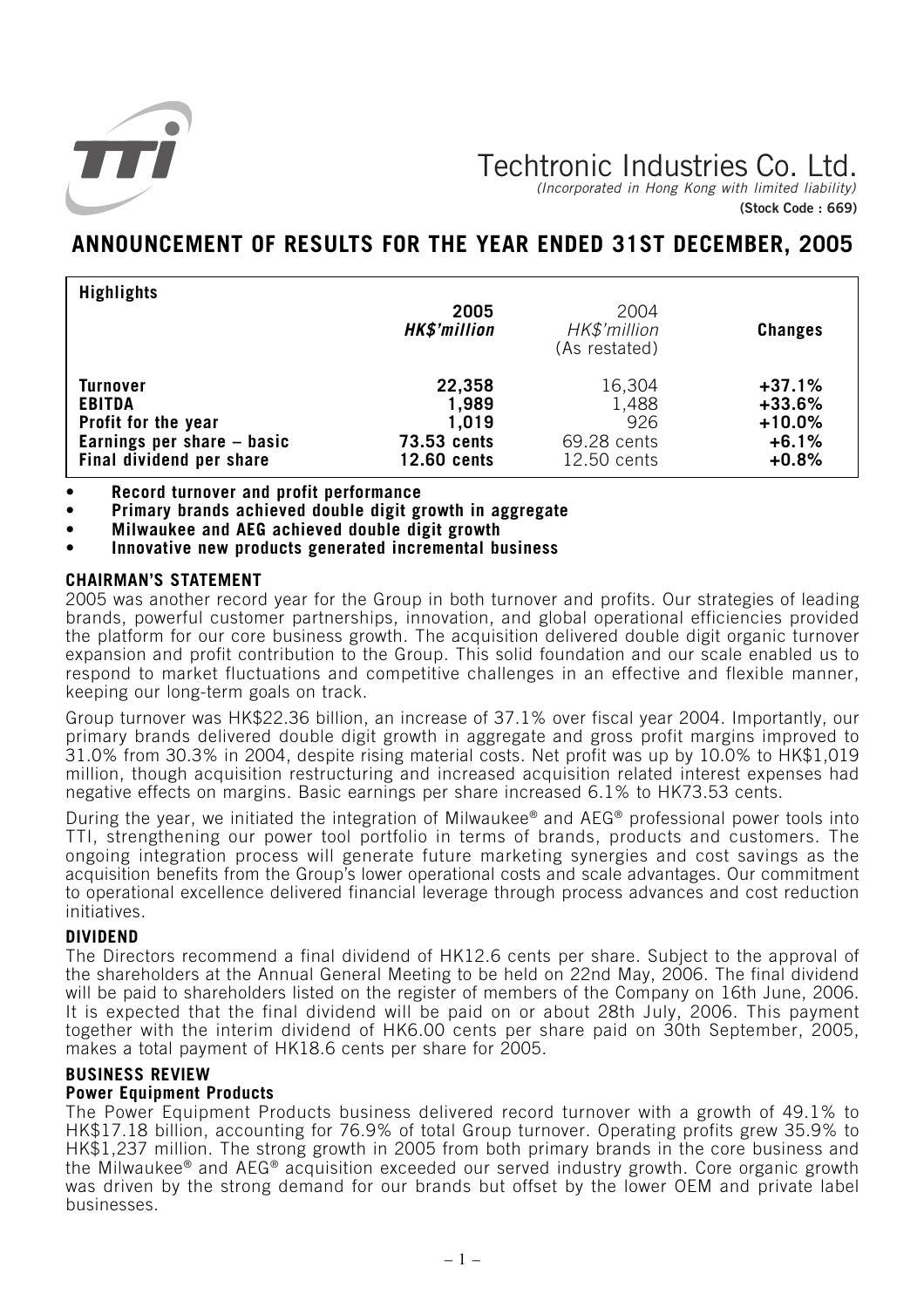

# Techtronic Industries Co. Ltd.

(Incorporated in Hong Kong with limited liability) **(Stock Code : 669)**

## **ANNOUNCEMENT OF RESULTS FOR THE YEAR ENDED 31ST DECEMBER, 2005**

| <b>Highlights</b>          | 2005<br><b>HK\$'million</b> | 2004<br>HK\$'million<br>(As restated) | <b>Changes</b> |
|----------------------------|-----------------------------|---------------------------------------|----------------|
| <b>Turnover</b>            | 22,358                      | 16,304                                | $+37.1%$       |
| <b>EBITDA</b>              | 1,989                       | 1,488                                 | $+33.6%$       |
| Profit for the year        | 1,019                       | 926                                   | $+10.0%$       |
| Earnings per share - basic | <b>73.53 cents</b>          | 69.28 cents                           | $+6.1%$        |
| Final dividend per share   | 12.60 cents                 | 12.50 cents                           | $+0.8%$        |

**• Record turnover and profit performance**

**• Primary brands achieved double digit growth in aggregate**

**• Milwaukee and AEG achieved double digit growth**

**• Innovative new products generated incremental business**

## **CHAIRMAN'S STATEMENT**

2005 was another record year for the Group in both turnover and profits. Our strategies of leading brands, powerful customer partnerships, innovation, and global operational efficiencies provided the platform for our core business growth. The acquisition delivered double digit organic turnover expansion and profit contribution to the Group. This solid foundation and our scale enabled us to respond to market fluctuations and competitive challenges in an effective and flexible manner, keeping our long-term goals on track.

Group turnover was HK\$22.36 billion, an increase of 37.1% over fiscal year 2004. Importantly, our primary brands delivered double digit growth in aggregate and gross profit margins improved to 31.0% from 30.3% in 2004, despite rising material costs. Net profit was up by 10.0% to HK\$1,019 million, though acquisition restructuring and increased acquisition related interest expenses had negative effects on margins. Basic earnings per share increased 6.1% to HK73.53 cents.

During the year, we initiated the integration of Milwaukee® and AEG® professional power tools into TTI, strengthening our power tool portfolio in terms of brands, products and customers. The ongoing integration process will generate future marketing synergies and cost savings as the acquisition benefits from the Group's lower operational costs and scale advantages. Our commitment to operational excellence delivered financial leverage through process advances and cost reduction initiatives.

## **DIVIDEND**

The Directors recommend a final dividend of HK12.6 cents per share. Subject to the approval of the shareholders at the Annual General Meeting to be held on 22nd May, 2006. The final dividend will be paid to shareholders listed on the register of members of the Company on 16th June, 2006. It is expected that the final dividend will be paid on or about 28th July, 2006. This payment together with the interim dividend of HK6.00 cents per share paid on 30th September, 2005, makes a total payment of HK18.6 cents per share for 2005.

## **BUSINESS REVIEW**

## **Power Equipment Products**

The Power Equipment Products business delivered record turnover with a growth of 49.1% to HK\$17.18 billion, accounting for 76.9% of total Group turnover. Operating profits grew 35.9% to HK\$1,237 million. The strong growth in 2005 from both primary brands in the core business and the Milwaukee® and AEG® acquisition exceeded our served industry growth. Core organic growth was driven by the strong demand for our brands but offset by the lower OEM and private label businesses.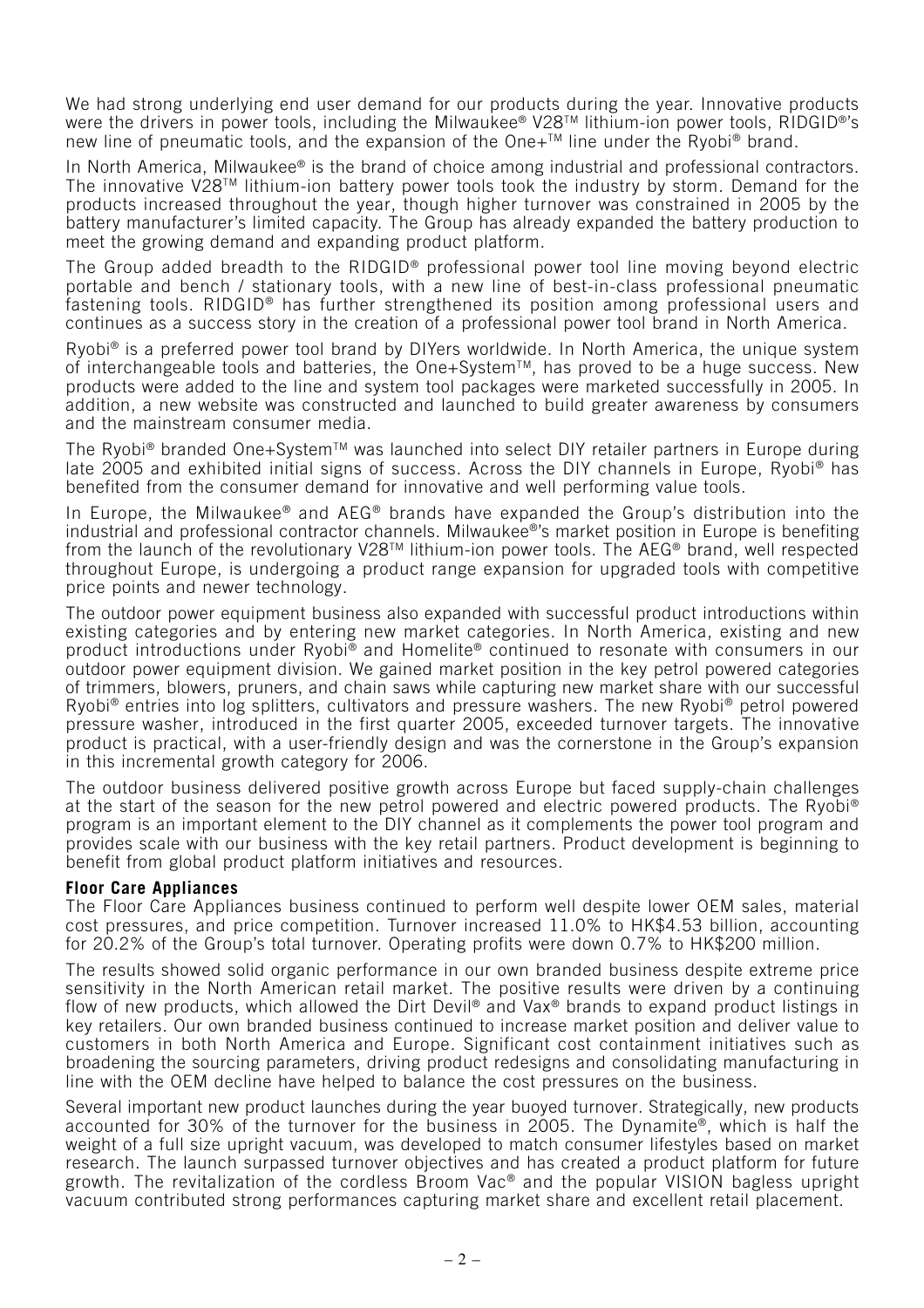We had strong underlying end user demand for our products during the year. Innovative products were the drivers in power tools, including the Milwaukee® V28™ lithium-ion power tools, RIDGID®'s new line of pneumatic tools, and the expansion of the One+™ line under the Ryobi<sup>®</sup> brand.

In North America, Milwaukee® is the brand of choice among industrial and professional contractors. The innovative V28TM lithium-ion battery power tools took the industry by storm. Demand for the products increased throughout the year, though higher turnover was constrained in 2005 by the battery manufacturer's limited capacity. The Group has already expanded the battery production to meet the growing demand and expanding product platform.

The Group added breadth to the RIDGID® professional power tool line moving beyond electric portable and bench / stationary tools, with a new line of best-in-class professional pneumatic fastening tools. RIDGID® has further strengthened its position among professional users and continues as a success story in the creation of a professional power tool brand in North America.

Ryobi® is a preferred power tool brand by DIYers worldwide. In North America, the unique system of interchangeable tools and batteries, the One+System™, has proved to be a huge success. New products were added to the line and system tool packages were marketed successfully in 2005. In addition, a new website was constructed and launched to build greater awareness by consumers and the mainstream consumer media.

The Ryobi® branded One+System™ was launched into select DIY retailer partners in Europe during late 2005 and exhibited initial signs of success. Across the DIY channels in Europe, Ryobi® has benefited from the consumer demand for innovative and well performing value tools.

In Europe, the Milwaukee<sup>®</sup> and AEG<sup>®</sup> brands have expanded the Group's distribution into the industrial and professional contractor channels. Milwaukee®'s market position in Europe is benefiting from the launch of the revolutionary V28™ lithium-ion power tools. The AEG® brand, well respected throughout Europe, is undergoing a product range expansion for upgraded tools with competitive price points and newer technology.

The outdoor power equipment business also expanded with successful product introductions within existing categories and by entering new market categories. In North America, existing and new product introductions under Ryobi® and Homelite® continued to resonate with consumers in our outdoor power equipment division. We gained market position in the key petrol powered categories of trimmers, blowers, pruners, and chain saws while capturing new market share with our successful Ryobi® entries into log splitters, cultivators and pressure washers. The new Ryobi® petrol powered pressure washer, introduced in the first quarter 2005, exceeded turnover targets. The innovative product is practical, with a user-friendly design and was the cornerstone in the Group's expansion in this incremental growth category for 2006.

The outdoor business delivered positive growth across Europe but faced supply-chain challenges at the start of the season for the new petrol powered and electric powered products. The Ryobi® program is an important element to the DIY channel as it complements the power tool program and provides scale with our business with the key retail partners. Product development is beginning to benefit from global product platform initiatives and resources.

#### **Floor Care Appliances**

The Floor Care Appliances business continued to perform well despite lower OEM sales, material cost pressures, and price competition. Turnover increased 11.0% to HK\$4.53 billion, accounting for 20.2% of the Group's total turnover. Operating profits were down 0.7% to HK\$200 million.

The results showed solid organic performance in our own branded business despite extreme price sensitivity in the North American retail market. The positive results were driven by a continuing flow of new products, which allowed the Dirt Devil® and Vax® brands to expand product listings in key retailers. Our own branded business continued to increase market position and deliver value to customers in both North America and Europe. Significant cost containment initiatives such as broadening the sourcing parameters, driving product redesigns and consolidating manufacturing in line with the OEM decline have helped to balance the cost pressures on the business.

Several important new product launches during the year buoyed turnover. Strategically, new products accounted for 30% of the turnover for the business in 2005. The Dynamite®, which is half the weight of a full size upright vacuum, was developed to match consumer lifestyles based on market research. The launch surpassed turnover objectives and has created a product platform for future growth. The revitalization of the cordless Broom Vac® and the popular VISION bagless upright vacuum contributed strong performances capturing market share and excellent retail placement.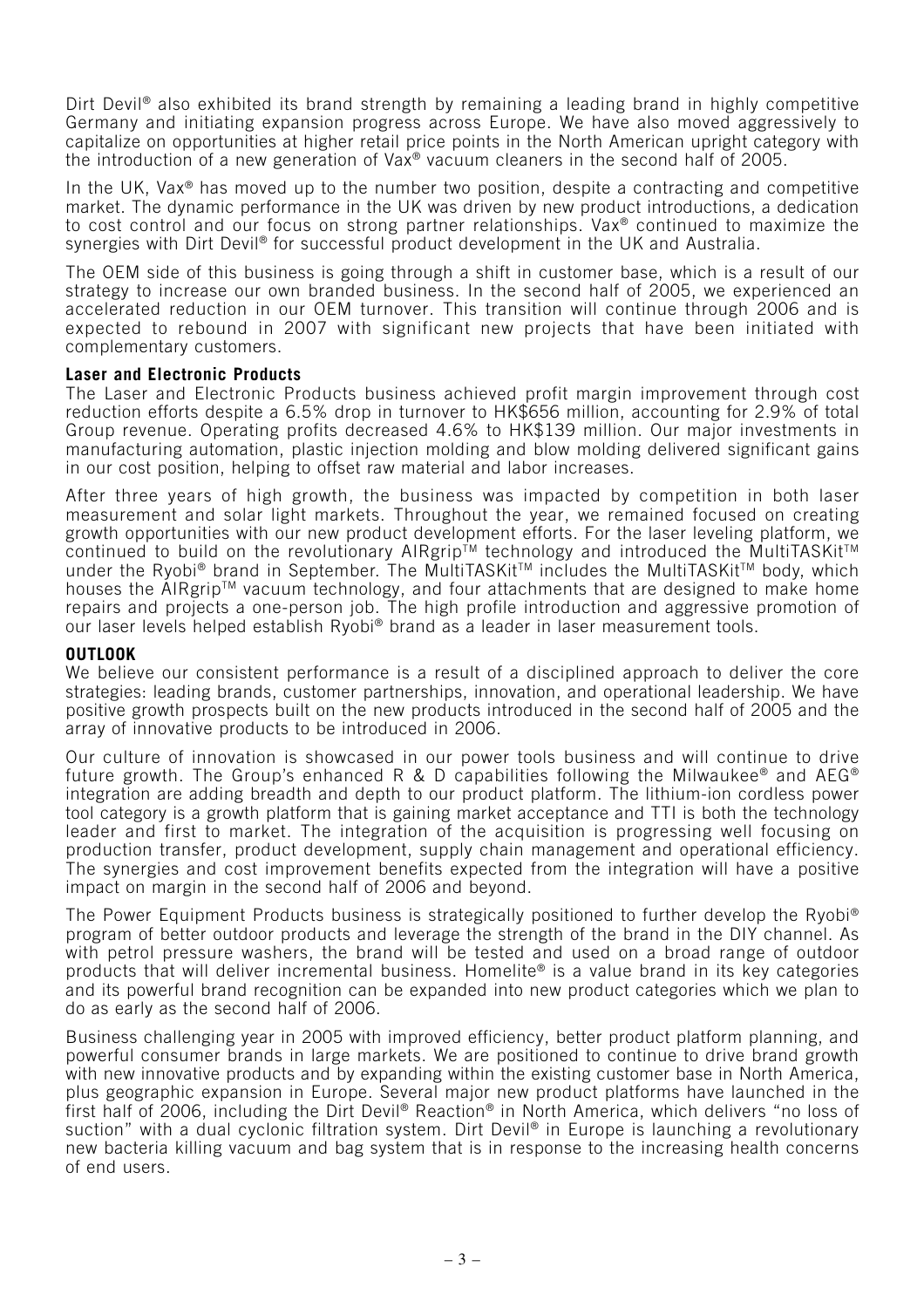Dirt Devil<sup>®</sup> also exhibited its brand strength by remaining a leading brand in highly competitive Germany and initiating expansion progress across Europe. We have also moved aggressively to capitalize on opportunities at higher retail price points in the North American upright category with the introduction of a new generation of Vax® vacuum cleaners in the second half of 2005.

In the UK, Vax<sup>®</sup> has moved up to the number two position, despite a contracting and competitive market. The dynamic performance in the UK was driven by new product introductions, a dedication to cost control and our focus on strong partner relationships. Vax® continued to maximize the synergies with Dirt Devil<sup>®</sup> for successful product development in the UK and Australia.

The OEM side of this business is going through a shift in customer base, which is a result of our strategy to increase our own branded business. In the second half of 2005, we experienced an accelerated reduction in our OEM turnover. This transition will continue through 2006 and is expected to rebound in 2007 with significant new projects that have been initiated with complementary customers.

#### **Laser and Electronic Products**

The Laser and Electronic Products business achieved profit margin improvement through cost reduction efforts despite a 6.5% drop in turnover to HK\$656 million, accounting for 2.9% of total Group revenue. Operating profits decreased 4.6% to HK\$139 million. Our major investments in manufacturing automation, plastic injection molding and blow molding delivered significant gains in our cost position, helping to offset raw material and labor increases.

After three years of high growth, the business was impacted by competition in both laser measurement and solar light markets. Throughout the year, we remained focused on creating growth opportunities with our new product development efforts. For the laser leveling platform, we continued to build on the revolutionary AIRgrip™ technology and introduced the MultiTASKit<sup>™</sup> under the Ryobi® brand in September. The MultiTASKit™ includes the MultiTASKit™ body, which houses the AIRgrip<sup>™</sup> vacuum technology, and four attachments that are designed to make home repairs and projects a one-person job. The high profile introduction and aggressive promotion of our laser levels helped establish Ryobi® brand as a leader in laser measurement tools.

#### **OUTLOOK**

We believe our consistent performance is a result of a disciplined approach to deliver the core strategies: leading brands, customer partnerships, innovation, and operational leadership. We have positive growth prospects built on the new products introduced in the second half of 2005 and the array of innovative products to be introduced in 2006.

Our culture of innovation is showcased in our power tools business and will continue to drive future growth. The Group's enhanced R & D capabilities following the Milwaukee<sup>®</sup> and AEG<sup>®</sup> integration are adding breadth and depth to our product platform. The lithium-ion cordless power tool category is a growth platform that is gaining market acceptance and TTI is both the technology leader and first to market. The integration of the acquisition is progressing well focusing on production transfer, product development, supply chain management and operational efficiency. The synergies and cost improvement benefits expected from the integration will have a positive impact on margin in the second half of 2006 and beyond.

The Power Equipment Products business is strategically positioned to further develop the Ryobi® program of better outdoor products and leverage the strength of the brand in the DIY channel. As with petrol pressure washers, the brand will be tested and used on a broad range of outdoor products that will deliver incremental business. Homelite® is a value brand in its key categories and its powerful brand recognition can be expanded into new product categories which we plan to do as early as the second half of 2006.

Business challenging year in 2005 with improved efficiency, better product platform planning, and powerful consumer brands in large markets. We are positioned to continue to drive brand growth with new innovative products and by expanding within the existing customer base in North America, plus geographic expansion in Europe. Several major new product platforms have launched in the first half of 2006, including the Dirt Devil® Reaction® in North America, which delivers "no loss of suction" with a dual cyclonic filtration system. Dirt Devil<sup>®</sup> in Europe is launching a revolutionary new bacteria killing vacuum and bag system that is in response to the increasing health concerns of end users.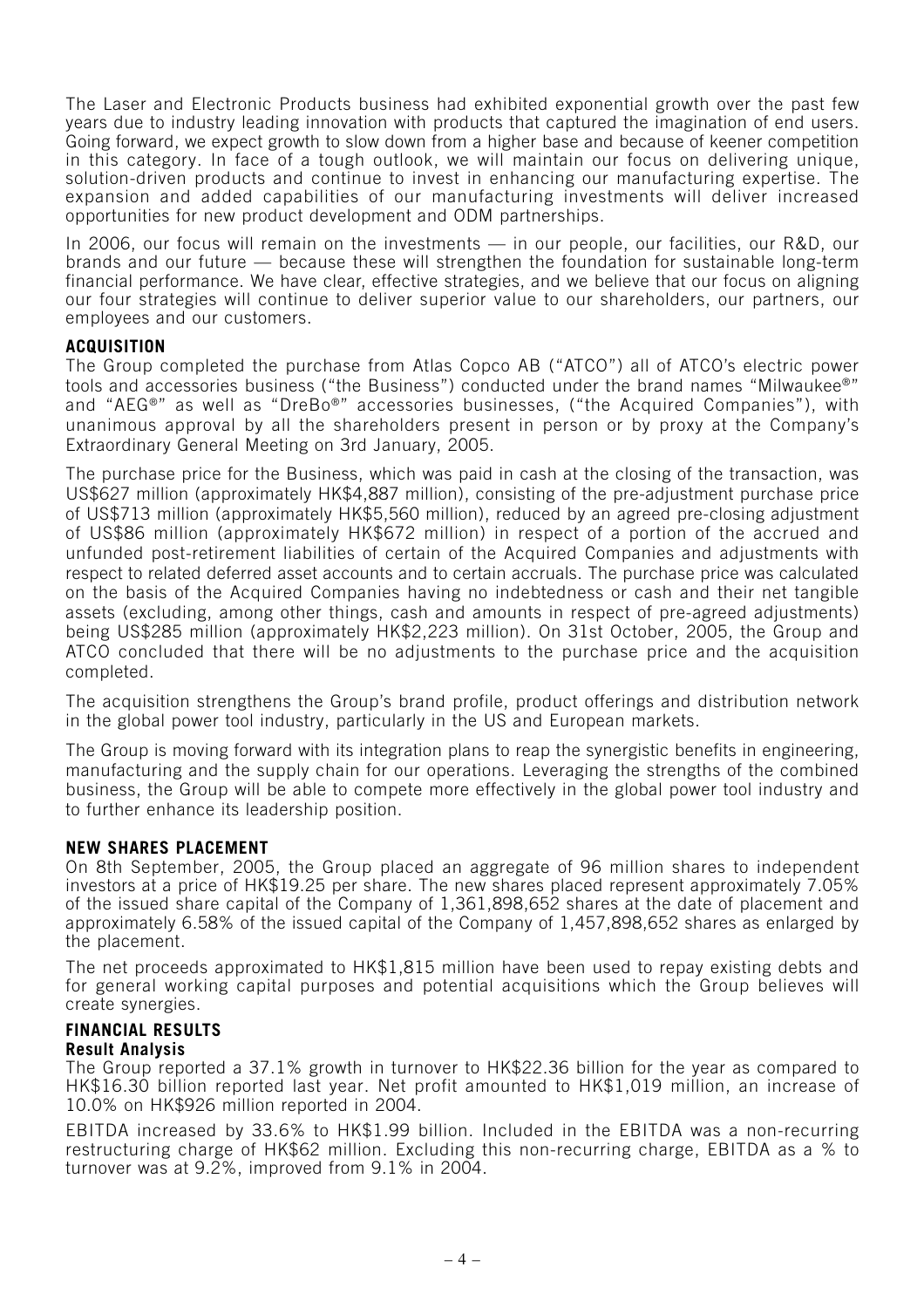The Laser and Electronic Products business had exhibited exponential growth over the past few years due to industry leading innovation with products that captured the imagination of end users. Going forward, we expect growth to slow down from a higher base and because of keener competition in this category. In face of a tough outlook, we will maintain our focus on delivering unique, solution-driven products and continue to invest in enhancing our manufacturing expertise. The expansion and added capabilities of our manufacturing investments will deliver increased opportunities for new product development and ODM partnerships.

In 2006, our focus will remain on the investments — in our people, our facilities, our R&D, our brands and our future — because these will strengthen the foundation for sustainable long-term financial performance. We have clear, effective strategies, and we believe that our focus on aligning our four strategies will continue to deliver superior value to our shareholders, our partners, our employees and our customers.

## **ACQUISITION**

The Group completed the purchase from Atlas Copco AB ("ATCO") all of ATCO's electric power tools and accessories business ("the Business") conducted under the brand names "Milwaukee®" and "AEG®" as well as "DreBo®" accessories businesses, ("the Acquired Companies"), with unanimous approval by all the shareholders present in person or by proxy at the Company's Extraordinary General Meeting on 3rd January, 2005.

The purchase price for the Business, which was paid in cash at the closing of the transaction, was US\$627 million (approximately HK\$4,887 million), consisting of the pre-adjustment purchase price of US\$713 million (approximately HK\$5,560 million), reduced by an agreed pre-closing adjustment of US\$86 million (approximately HK\$672 million) in respect of a portion of the accrued and unfunded post-retirement liabilities of certain of the Acquired Companies and adjustments with respect to related deferred asset accounts and to certain accruals. The purchase price was calculated on the basis of the Acquired Companies having no indebtedness or cash and their net tangible assets (excluding, among other things, cash and amounts in respect of pre-agreed adjustments) being US\$285 million (approximately HK\$2,223 million). On 31st October, 2005, the Group and ATCO concluded that there will be no adjustments to the purchase price and the acquisition completed.

The acquisition strengthens the Group's brand profile, product offerings and distribution network in the global power tool industry, particularly in the US and European markets.

The Group is moving forward with its integration plans to reap the synergistic benefits in engineering, manufacturing and the supply chain for our operations. Leveraging the strengths of the combined business, the Group will be able to compete more effectively in the global power tool industry and to further enhance its leadership position.

## **NEW SHARES PLACEMENT**

On 8th September, 2005, the Group placed an aggregate of 96 million shares to independent investors at a price of HK\$19.25 per share. The new shares placed represent approximately 7.05% of the issued share capital of the Company of 1,361,898,652 shares at the date of placement and approximately 6.58% of the issued capital of the Company of 1,457,898,652 shares as enlarged by the placement.

The net proceeds approximated to HK\$1,815 million have been used to repay existing debts and for general working capital purposes and potential acquisitions which the Group believes will create synergies.

#### **FINANCIAL RESULTS Result Analysis**

The Group reported a 37.1% growth in turnover to HK\$22.36 billion for the year as compared to HK\$16.30 billion reported last year. Net profit amounted to HK\$1,019 million, an increase of 10.0% on HK\$926 million reported in 2004.

EBITDA increased by 33.6% to HK\$1.99 billion. Included in the EBITDA was a non-recurring restructuring charge of HK\$62 million. Excluding this non-recurring charge, EBITDA as a % to turnover was at 9.2%, improved from 9.1% in 2004.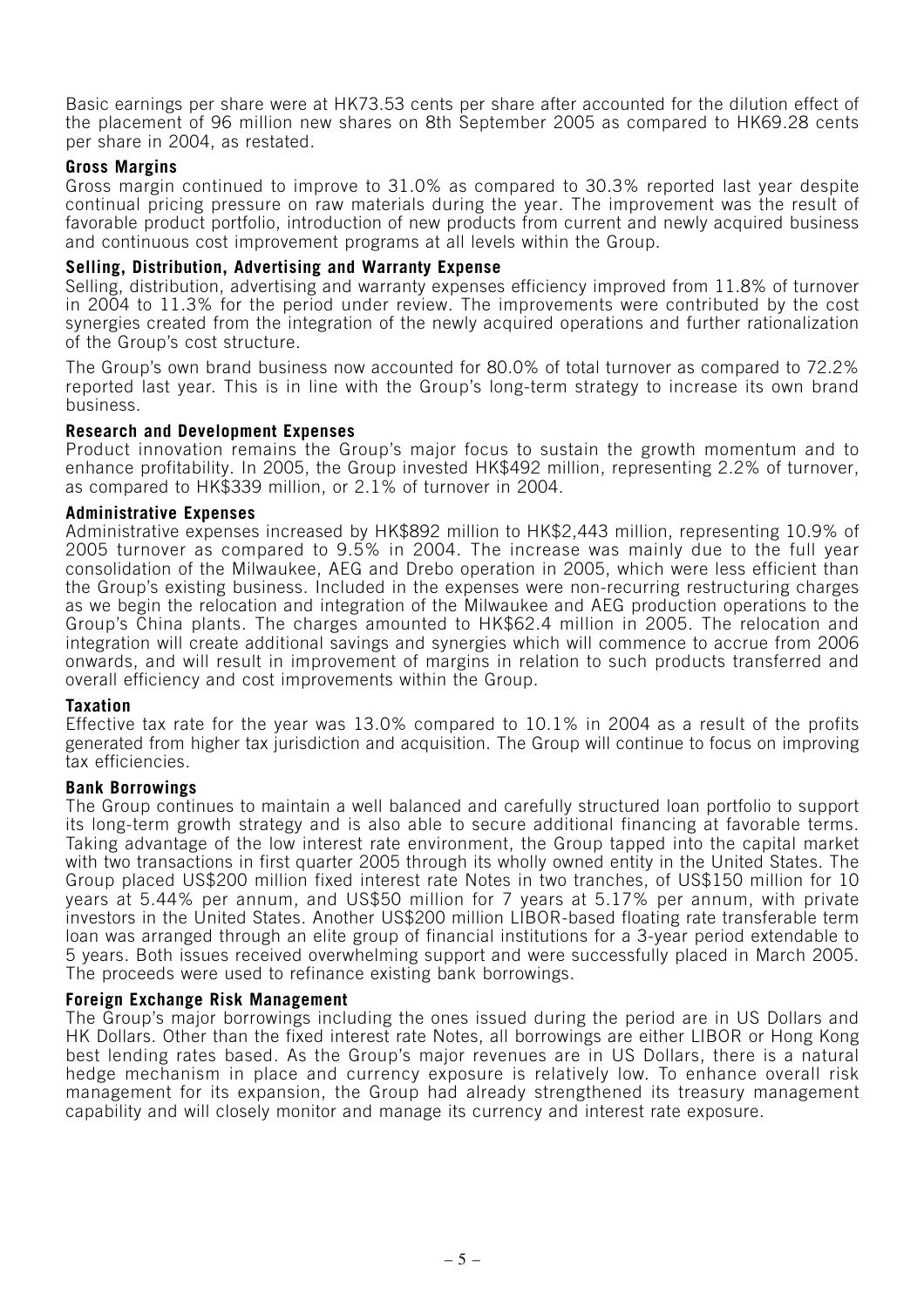Basic earnings per share were at HK73.53 cents per share after accounted for the dilution effect of the placement of 96 million new shares on 8th September 2005 as compared to HK69.28 cents per share in 2004, as restated.

#### **Gross Margins**

Gross margin continued to improve to 31.0% as compared to 30.3% reported last year despite continual pricing pressure on raw materials during the year. The improvement was the result of favorable product portfolio, introduction of new products from current and newly acquired business and continuous cost improvement programs at all levels within the Group.

#### **Selling, Distribution, Advertising and Warranty Expense**

Selling, distribution, advertising and warranty expenses efficiency improved from 11.8% of turnover in 2004 to 11.3% for the period under review. The improvements were contributed by the cost synergies created from the integration of the newly acquired operations and further rationalization of the Group's cost structure.

The Group's own brand business now accounted for 80.0% of total turnover as compared to 72.2% reported last year. This is in line with the Group's long-term strategy to increase its own brand business.

#### **Research and Development Expenses**

Product innovation remains the Group's major focus to sustain the growth momentum and to enhance profitability. In 2005, the Group invested HK\$492 million, representing 2.2% of turnover, as compared to HK\$339 million, or 2.1% of turnover in 2004.

#### **Administrative Expenses**

Administrative expenses increased by HK\$892 million to HK\$2,443 million, representing 10.9% of 2005 turnover as compared to 9.5% in 2004. The increase was mainly due to the full year consolidation of the Milwaukee, AEG and Drebo operation in 2005, which were less efficient than the Group's existing business. Included in the expenses were non-recurring restructuring charges as we begin the relocation and integration of the Milwaukee and AEG production operations to the Group's China plants. The charges amounted to HK\$62.4 million in 2005. The relocation and integration will create additional savings and synergies which will commence to accrue from 2006 onwards, and will result in improvement of margins in relation to such products transferred and overall efficiency and cost improvements within the Group.

#### **Taxation**

Effective tax rate for the year was 13.0% compared to 10.1% in 2004 as a result of the profits generated from higher tax jurisdiction and acquisition. The Group will continue to focus on improving tax efficiencies.

## **Bank Borrowings**

The Group continues to maintain a well balanced and carefully structured loan portfolio to support its long-term growth strategy and is also able to secure additional financing at favorable terms. Taking advantage of the low interest rate environment, the Group tapped into the capital market with two transactions in first quarter 2005 through its wholly owned entity in the United States. The Group placed US\$200 million fixed interest rate Notes in two tranches, of US\$150 million for 10 years at 5.44% per annum, and US\$50 million for 7 years at 5.17% per annum, with private investors in the United States. Another US\$200 million LIBOR-based floating rate transferable term loan was arranged through an elite group of financial institutions for a 3-year period extendable to 5 years. Both issues received overwhelming support and were successfully placed in March 2005. The proceeds were used to refinance existing bank borrowings.

#### **Foreign Exchange Risk Management**

The Group's major borrowings including the ones issued during the period are in US Dollars and HK Dollars. Other than the fixed interest rate Notes, all borrowings are either LIBOR or Hong Kong best lending rates based. As the Group's major revenues are in US Dollars, there is a natural hedge mechanism in place and currency exposure is relatively low. To enhance overall risk management for its expansion, the Group had already strengthened its treasury management capability and will closely monitor and manage its currency and interest rate exposure.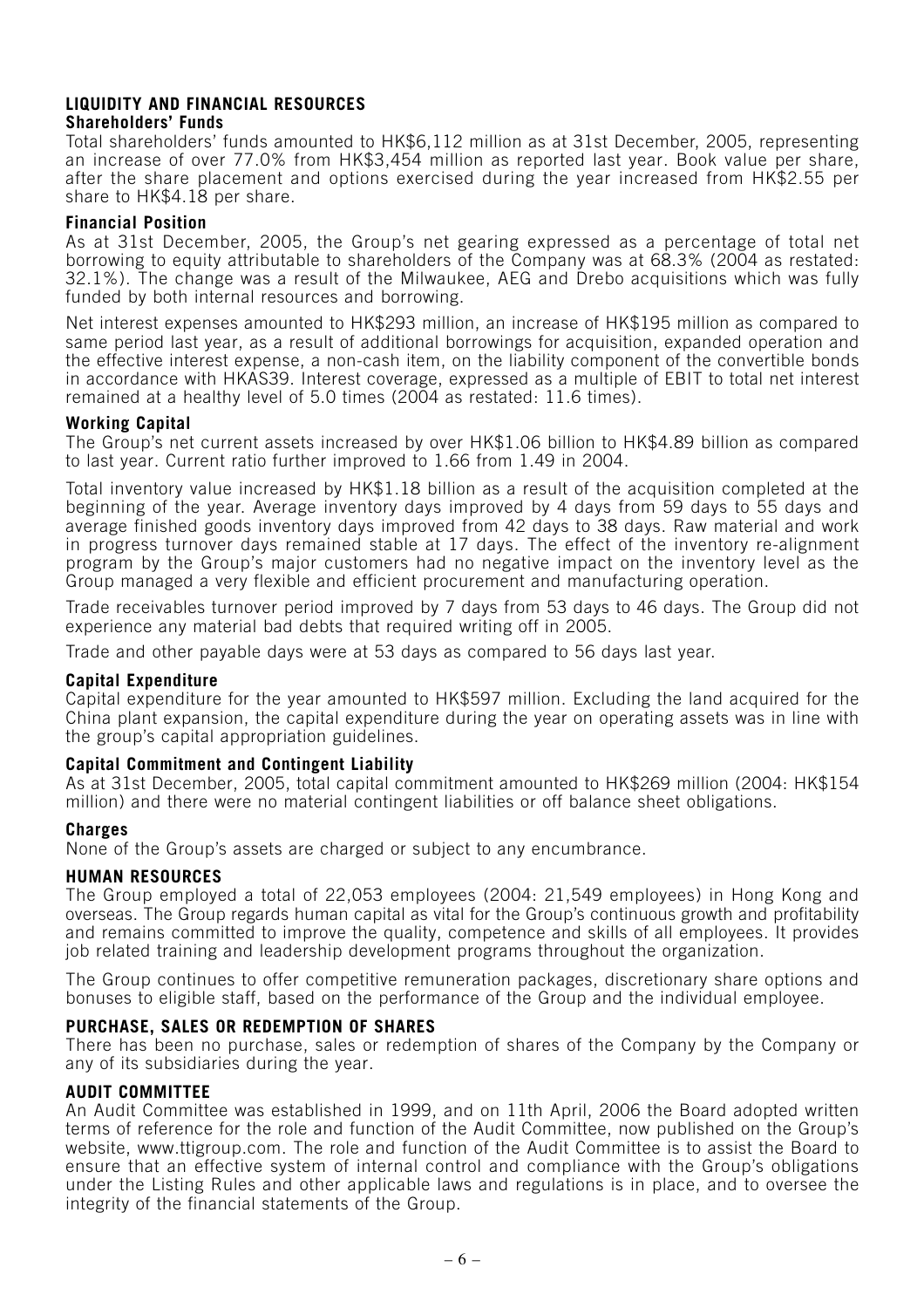## **LIQUIDITY AND FINANCIAL RESOURCES Shareholders' Funds**

Total shareholders' funds amounted to HK\$6,112 million as at 31st December, 2005, representing an increase of over 77.0% from HK\$3,454 million as reported last year. Book value per share, after the share placement and options exercised during the year increased from HK\$2.55 per share to HK\$4.18 per share.

## **Financial Position**

As at 31st December, 2005, the Group's net gearing expressed as a percentage of total net borrowing to equity attributable to shareholders of the Company was at 68.3% (2004 as restated: 32.1%). The change was a result of the Milwaukee, AEG and Drebo acquisitions which was fully funded by both internal resources and borrowing.

Net interest expenses amounted to HK\$293 million, an increase of HK\$195 million as compared to same period last year, as a result of additional borrowings for acquisition, expanded operation and the effective interest expense, a non-cash item, on the liability component of the convertible bonds in accordance with HKAS39. Interest coverage, expressed as a multiple of EBIT to total net interest remained at a healthy level of 5.0 times (2004 as restated: 11.6 times).

## **Working Capital**

The Group's net current assets increased by over HK\$1.06 billion to HK\$4.89 billion as compared to last year. Current ratio further improved to 1.66 from 1.49 in 2004.

Total inventory value increased by HK\$1.18 billion as a result of the acquisition completed at the beginning of the year. Average inventory days improved by 4 days from 59 days to 55 days and average finished goods inventory days improved from 42 days to 38 days. Raw material and work in progress turnover days remained stable at 17 days. The effect of the inventory re-alignment program by the Group's major customers had no negative impact on the inventory level as the Group managed a very flexible and efficient procurement and manufacturing operation.

Trade receivables turnover period improved by 7 days from 53 days to 46 days. The Group did not experience any material bad debts that required writing off in 2005.

Trade and other payable days were at 53 days as compared to 56 days last year.

## **Capital Expenditure**

Capital expenditure for the year amounted to HK\$597 million. Excluding the land acquired for the China plant expansion, the capital expenditure during the year on operating assets was in line with the group's capital appropriation guidelines.

## **Capital Commitment and Contingent Liability**

As at 31st December, 2005, total capital commitment amounted to HK\$269 million (2004: HK\$154 million) and there were no material contingent liabilities or off balance sheet obligations.

## **Charges**

None of the Group's assets are charged or subject to any encumbrance.

## **HUMAN RESOURCES**

The Group employed a total of 22,053 employees (2004: 21,549 employees) in Hong Kong and overseas. The Group regards human capital as vital for the Group's continuous growth and profitability and remains committed to improve the quality, competence and skills of all employees. It provides job related training and leadership development programs throughout the organization.

The Group continues to offer competitive remuneration packages, discretionary share options and bonuses to eligible staff, based on the performance of the Group and the individual employee.

## **PURCHASE, SALES OR REDEMPTION OF SHARES**

There has been no purchase, sales or redemption of shares of the Company by the Company or any of its subsidiaries during the year.

## **AUDIT COMMITTEE**

An Audit Committee was established in 1999, and on 11th April, 2006 the Board adopted written terms of reference for the role and function of the Audit Committee, now published on the Group's website, www.ttigroup.com. The role and function of the Audit Committee is to assist the Board to ensure that an effective system of internal control and compliance with the Group's obligations under the Listing Rules and other applicable laws and regulations is in place, and to oversee the integrity of the financial statements of the Group.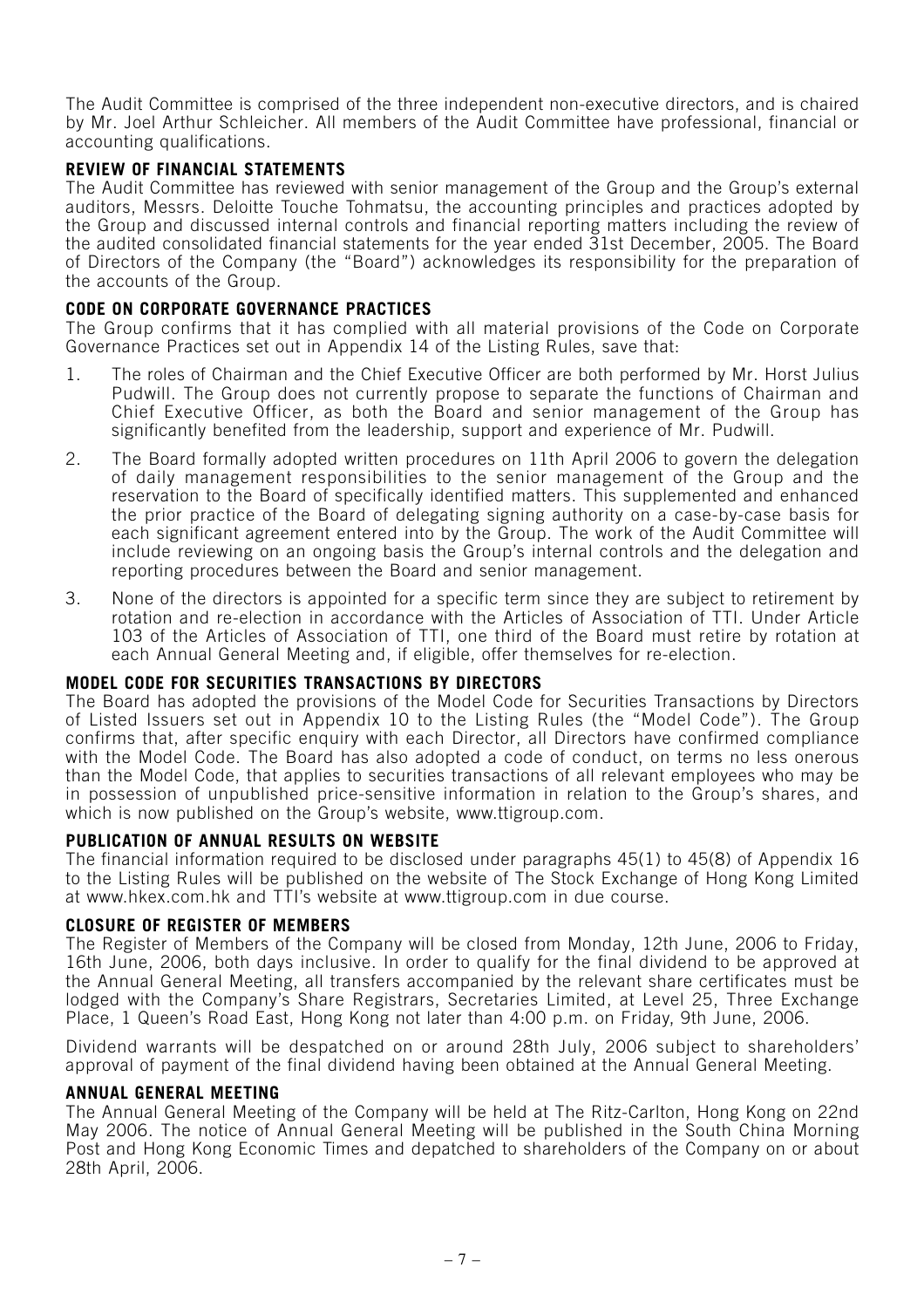The Audit Committee is comprised of the three independent non-executive directors, and is chaired by Mr. Joel Arthur Schleicher. All members of the Audit Committee have professional, financial or accounting qualifications.

## **REVIEW OF FINANCIAL STATEMENTS**

The Audit Committee has reviewed with senior management of the Group and the Group's external auditors, Messrs. Deloitte Touche Tohmatsu, the accounting principles and practices adopted by the Group and discussed internal controls and financial reporting matters including the review of the audited consolidated financial statements for the year ended 31st December, 2005. The Board of Directors of the Company (the "Board") acknowledges its responsibility for the preparation of the accounts of the Group.

## **CODE ON CORPORATE GOVERNANCE PRACTICES**

The Group confirms that it has complied with all material provisions of the Code on Corporate Governance Practices set out in Appendix 14 of the Listing Rules, save that:

- 1. The roles of Chairman and the Chief Executive Officer are both performed by Mr. Horst Julius Pudwill. The Group does not currently propose to separate the functions of Chairman and Chief Executive Officer, as both the Board and senior management of the Group has significantly benefited from the leadership, support and experience of Mr. Pudwill.
- 2. The Board formally adopted written procedures on 11th April 2006 to govern the delegation of daily management responsibilities to the senior management of the Group and the reservation to the Board of specifically identified matters. This supplemented and enhanced the prior practice of the Board of delegating signing authority on a case-by-case basis for each significant agreement entered into by the Group. The work of the Audit Committee will include reviewing on an ongoing basis the Group's internal controls and the delegation and reporting procedures between the Board and senior management.
- 3. None of the directors is appointed for a specific term since they are subject to retirement by rotation and re-election in accordance with the Articles of Association of TTI. Under Article 103 of the Articles of Association of TTI, one third of the Board must retire by rotation at each Annual General Meeting and, if eligible, offer themselves for re-election.

## **MODEL CODE FOR SECURITIES TRANSACTIONS BY DIRECTORS**

The Board has adopted the provisions of the Model Code for Securities Transactions by Directors of Listed Issuers set out in Appendix 10 to the Listing Rules (the "Model Code"). The Group confirms that, after specific enquiry with each Director, all Directors have confirmed compliance with the Model Code. The Board has also adopted a code of conduct, on terms no less onerous than the Model Code, that applies to securities transactions of all relevant employees who may be in possession of unpublished price-sensitive information in relation to the Group's shares, and which is now published on the Group's website, www.ttigroup.com.

## **PUBLICATION OF ANNUAL RESULTS ON WEBSITE**

The financial information required to be disclosed under paragraphs 45(1) to 45(8) of Appendix 16 to the Listing Rules will be published on the website of The Stock Exchange of Hong Kong Limited at www.hkex.com.hk and TTI's website at www.ttigroup.com in due course.

## **CLOSURE OF REGISTER OF MEMBERS**

The Register of Members of the Company will be closed from Monday, 12th June, 2006 to Friday, 16th June, 2006, both days inclusive. In order to qualify for the final dividend to be approved at the Annual General Meeting, all transfers accompanied by the relevant share certificates must be lodged with the Company's Share Registrars, Secretaries Limited, at Level 25, Three Exchange Place, 1 Queen's Road East, Hong Kong not later than 4:00 p.m. on Friday, 9th June, 2006.

Dividend warrants will be despatched on or around 28th July, 2006 subject to shareholders' approval of payment of the final dividend having been obtained at the Annual General Meeting.

#### **ANNUAL GENERAL MEETING**

The Annual General Meeting of the Company will be held at The Ritz-Carlton, Hong Kong on 22nd May 2006. The notice of Annual General Meeting will be published in the South China Morning Post and Hong Kong Economic Times and depatched to shareholders of the Company on or about 28th April, 2006.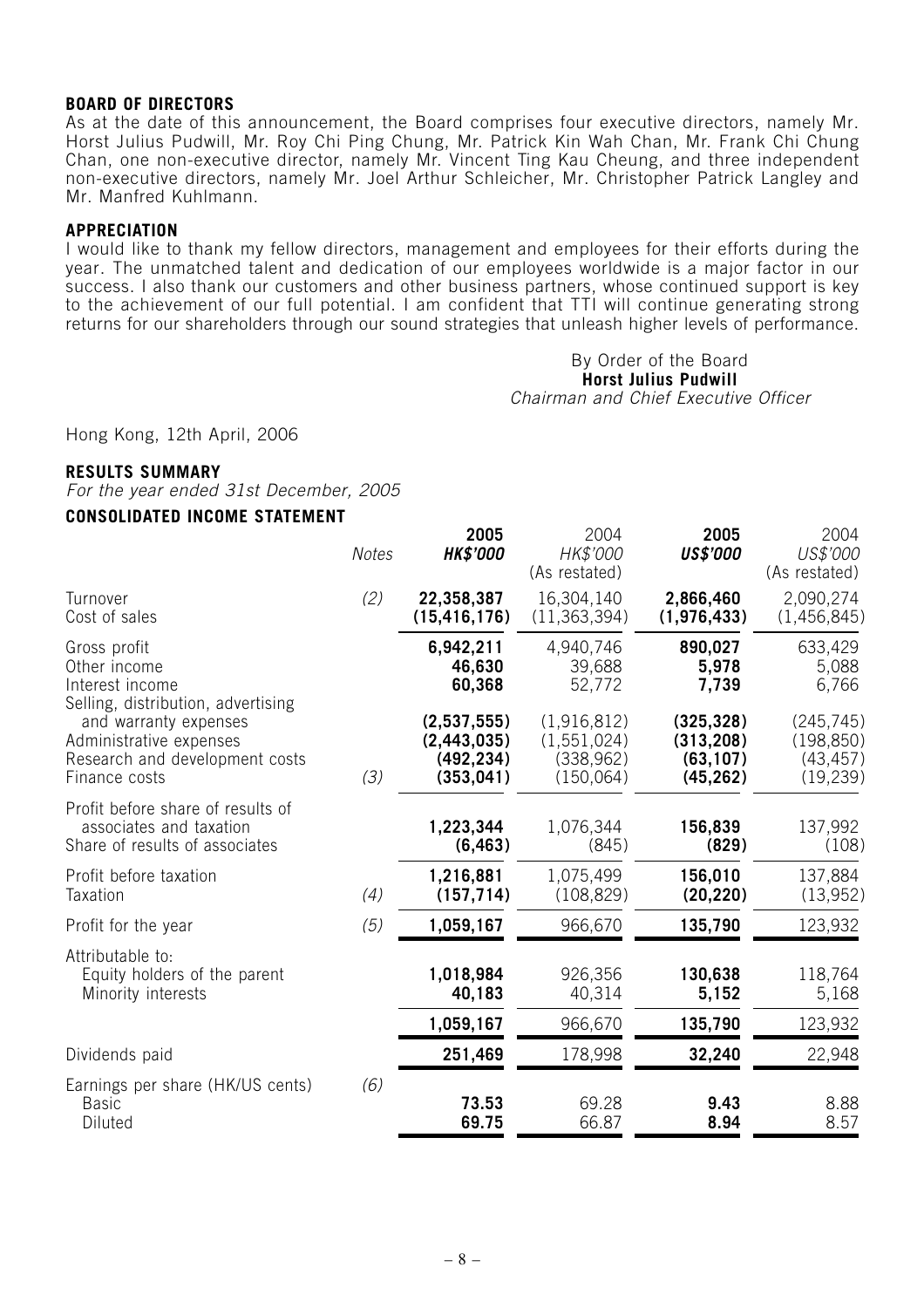#### **BOARD OF DIRECTORS**

As at the date of this announcement, the Board comprises four executive directors, namely Mr. Horst Julius Pudwill, Mr. Roy Chi Ping Chung, Mr. Patrick Kin Wah Chan, Mr. Frank Chi Chung Chan, one non-executive director, namely Mr. Vincent Ting Kau Cheung, and three independent non-executive directors, namely Mr. Joel Arthur Schleicher, Mr. Christopher Patrick Langley and Mr. Manfred Kuhlmann.

#### **APPRECIATION**

I would like to thank my fellow directors, management and employees for their efforts during the year. The unmatched talent and dedication of our employees worldwide is a major factor in our success. I also thank our customers and other business partners, whose continued support is key to the achievement of our full potential. I am confident that TTI will continue generating strong returns for our shareholders through our sound strategies that unleash higher levels of performance.

#### By Order of the Board **Horst Julius Pudwill** Chairman and Chief Executive Officer

Hong Kong, 12th April, 2006

#### **RESULTS SUMMARY**

For the year ended 31st December, 2005

## **CONSOLIDATED INCOME STATEMENT**

| <b>Notes</b> | 2005<br><b>HK\$'000</b> | 2004<br>HK\$'000<br>(As restated) | 2005<br><b>US\$'000</b> | 2004<br>US\$'000<br>(As restated) |
|--------------|-------------------------|-----------------------------------|-------------------------|-----------------------------------|
| (2)          | 22,358,387              | 16,304,140                        | 2,866,460               | 2,090,274                         |
|              | (15, 416, 176)          | (11, 363, 394)                    | (1,976,433)             | (1,456,845)                       |
|              | 6,942,211               | 4,940,746                         | 890,027                 | 633,429                           |
|              | 46,630                  | 39,688                            | 5,978                   | 5,088                             |
|              | 60,368                  | 52,772                            | 7,739                   | 6,766                             |
| (3)          | (2,537,555)             | (1,916,812)                       | (325, 328)              | (245, 745)                        |
|              | (2, 443, 035)           | (1, 551, 024)                     | (313, 208)              | (198, 850)                        |
|              | (492, 234)              | (338, 962)                        | (63, 107)               | (43, 457)                         |
|              | (353, 041)              | (150,064)                         | (45, 262)               | (19, 239)                         |
|              | 1,223,344               | 1,076,344                         | 156,839                 | 137,992                           |
|              | (6, 463)                | (845)                             | (829)                   | (108)                             |
| (4)          | 1,216,881               | 1,075,499                         | 156,010                 | 137,884                           |
|              | (157, 714)              | (108, 829)                        | (20, 220)               | (13, 952)                         |
| (5)          | 1,059,167               | 966,670                           | 135,790                 | 123,932                           |
|              | 1,018,984               | 926,356                           | 130,638                 | 118,764                           |
|              | 40,183                  | 40,314                            | 5,152                   | 5,168                             |
|              | 1,059,167               | 966,670                           | 135,790                 | 123,932                           |
|              | 251,469                 | 178,998                           | 32,240                  | 22,948                            |
| (6)          | 73.53                   | 69.28                             | 9.43                    | 8.88                              |
|              | 69.75                   | 66.87                             | 8.94                    | 8.57                              |
|              |                         |                                   |                         |                                   |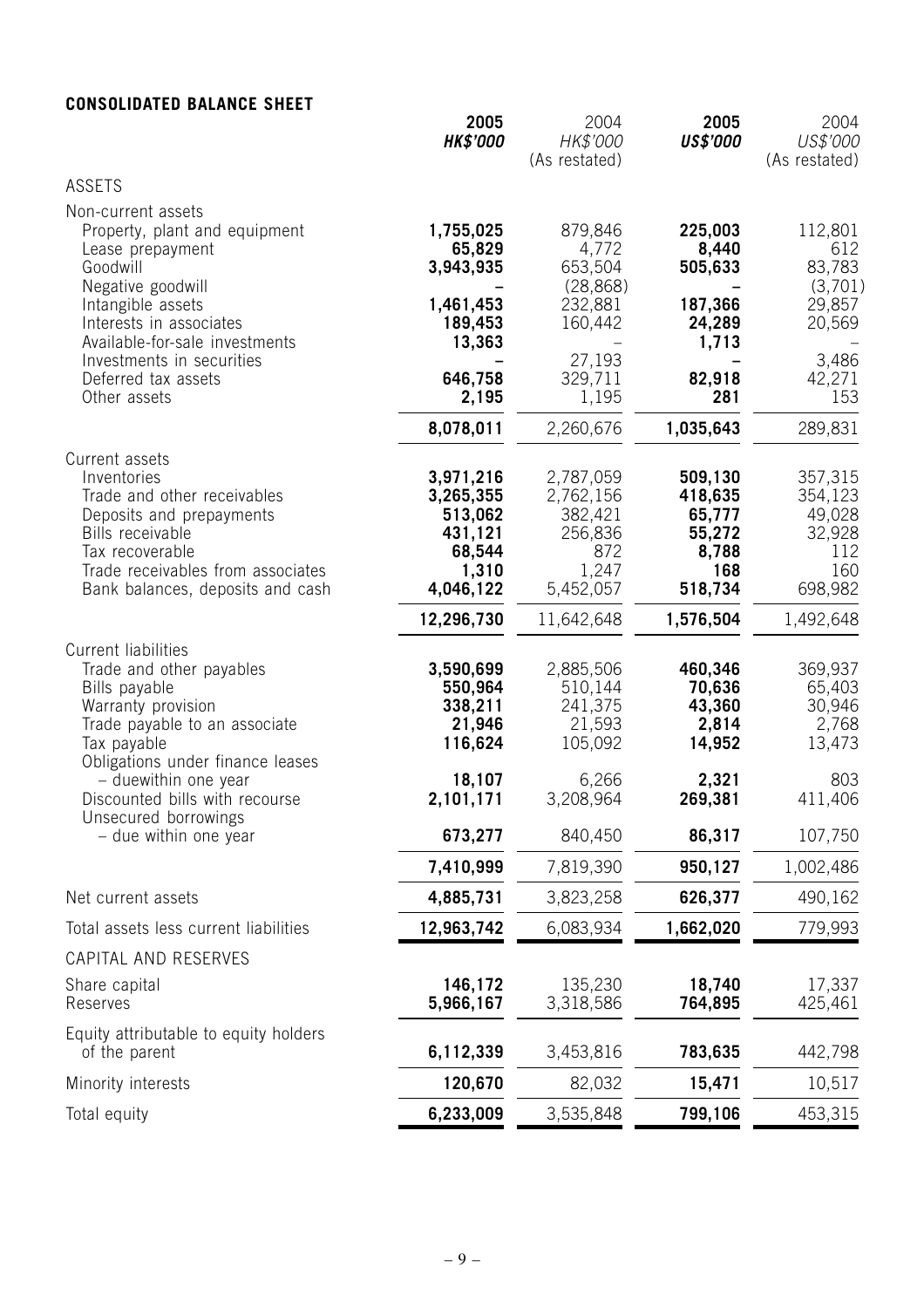## **CONSOLIDATED BALANCE SHEET**

|                                                                                                                                                                                                                                                                | 2005<br><b>HK\$'000</b>                                                                    | 2004<br>HK\$'000<br>(As restated)                                                            | 2005<br><b>US\$'000</b>                                                        | 2004<br>US\$'000<br>(As restated)                                                 |
|----------------------------------------------------------------------------------------------------------------------------------------------------------------------------------------------------------------------------------------------------------------|--------------------------------------------------------------------------------------------|----------------------------------------------------------------------------------------------|--------------------------------------------------------------------------------|-----------------------------------------------------------------------------------|
| <b>ASSETS</b>                                                                                                                                                                                                                                                  |                                                                                            |                                                                                              |                                                                                |                                                                                   |
| Non-current assets<br>Property, plant and equipment<br>Lease prepayment<br>Goodwill<br>Negative goodwill<br>Intangible assets<br>Interests in associates<br>Available-for-sale investments<br>Investments in securities<br>Deferred tax assets<br>Other assets | 1,755,025<br>65,829<br>3,943,935<br>1,461,453<br>189,453<br>13,363<br>646,758<br>2,195     | 879,846<br>4,772<br>653,504<br>(28, 868)<br>232,881<br>160,442<br>27,193<br>329,711<br>1,195 | 225,003<br>8,440<br>505,633<br>187,366<br>24,289<br>1,713<br>82,918<br>281     | 112,801<br>612<br>83,783<br>(3,701)<br>29,857<br>20,569<br>3,486<br>42,271<br>153 |
|                                                                                                                                                                                                                                                                | 8,078,011                                                                                  | 2,260,676                                                                                    | 1,035,643                                                                      | 289,831                                                                           |
| Current assets<br>Inventories<br>Trade and other receivables<br>Deposits and prepayments<br>Bills receivable<br>Tax recoverable<br>Trade receivables from associates<br>Bank balances, deposits and cash                                                       | 3,971,216<br>3,265,355<br>513,062<br>431,121<br>68,544<br>1,310<br>4,046,122<br>12,296,730 | 2,787,059<br>2,762,156<br>382,421<br>256,836<br>872<br>1,247<br>5,452,057<br>11,642,648      | 509,130<br>418,635<br>65,777<br>55,272<br>8,788<br>168<br>518,734<br>1,576,504 | 357,315<br>354,123<br>49,028<br>32,928<br>112<br>160<br>698,982<br>1,492,648      |
| <b>Current liabilities</b><br>Trade and other payables<br>Bills payable<br>Warranty provision<br>Trade payable to an associate<br>Tax payable<br>Obligations under finance leases<br>- duewithin one year                                                      | 3,590,699<br>550,964<br>338,211<br>21,946<br>116,624<br>18,107                             | 2,885,506<br>510,144<br>241,375<br>21,593<br>105,092<br>6,266                                | 460,346<br>70,636<br>43,360<br>2,814<br>14,952<br>2,321                        | 369,937<br>65,403<br>30,946<br>2,768<br>13,473<br>803                             |
| Discounted bills with recourse<br>Unsecured borrowings                                                                                                                                                                                                         | 2,101,171                                                                                  | 3,208,964                                                                                    | 269,381                                                                        | 411,406                                                                           |
| - due within one year                                                                                                                                                                                                                                          | 673,277                                                                                    | 840,450                                                                                      | 86,317                                                                         | 107,750                                                                           |
|                                                                                                                                                                                                                                                                | 7,410,999                                                                                  | 7,819,390                                                                                    | 950,127                                                                        | 1,002,486                                                                         |
| Net current assets                                                                                                                                                                                                                                             | 4,885,731                                                                                  | 3,823,258                                                                                    | 626,377                                                                        | 490,162                                                                           |
| Total assets less current liabilities                                                                                                                                                                                                                          | 12,963,742                                                                                 | 6,083,934                                                                                    | 1,662,020                                                                      | 779,993                                                                           |
| CAPITAL AND RESERVES<br>Share capital<br>Reserves<br>Equity attributable to equity holders                                                                                                                                                                     | 146,172<br>5,966,167                                                                       | 135,230<br>3,318,586                                                                         | 18,740<br>764,895                                                              | 17,337<br>425,461                                                                 |
| of the parent                                                                                                                                                                                                                                                  | 6,112,339                                                                                  | 3,453,816                                                                                    | 783,635                                                                        | 442,798                                                                           |
| Minority interests                                                                                                                                                                                                                                             | 120,670                                                                                    | 82,032                                                                                       | 15,471                                                                         | 10,517                                                                            |
| Total equity                                                                                                                                                                                                                                                   | 6,233,009                                                                                  | 3,535,848                                                                                    | 799,106                                                                        | 453,315                                                                           |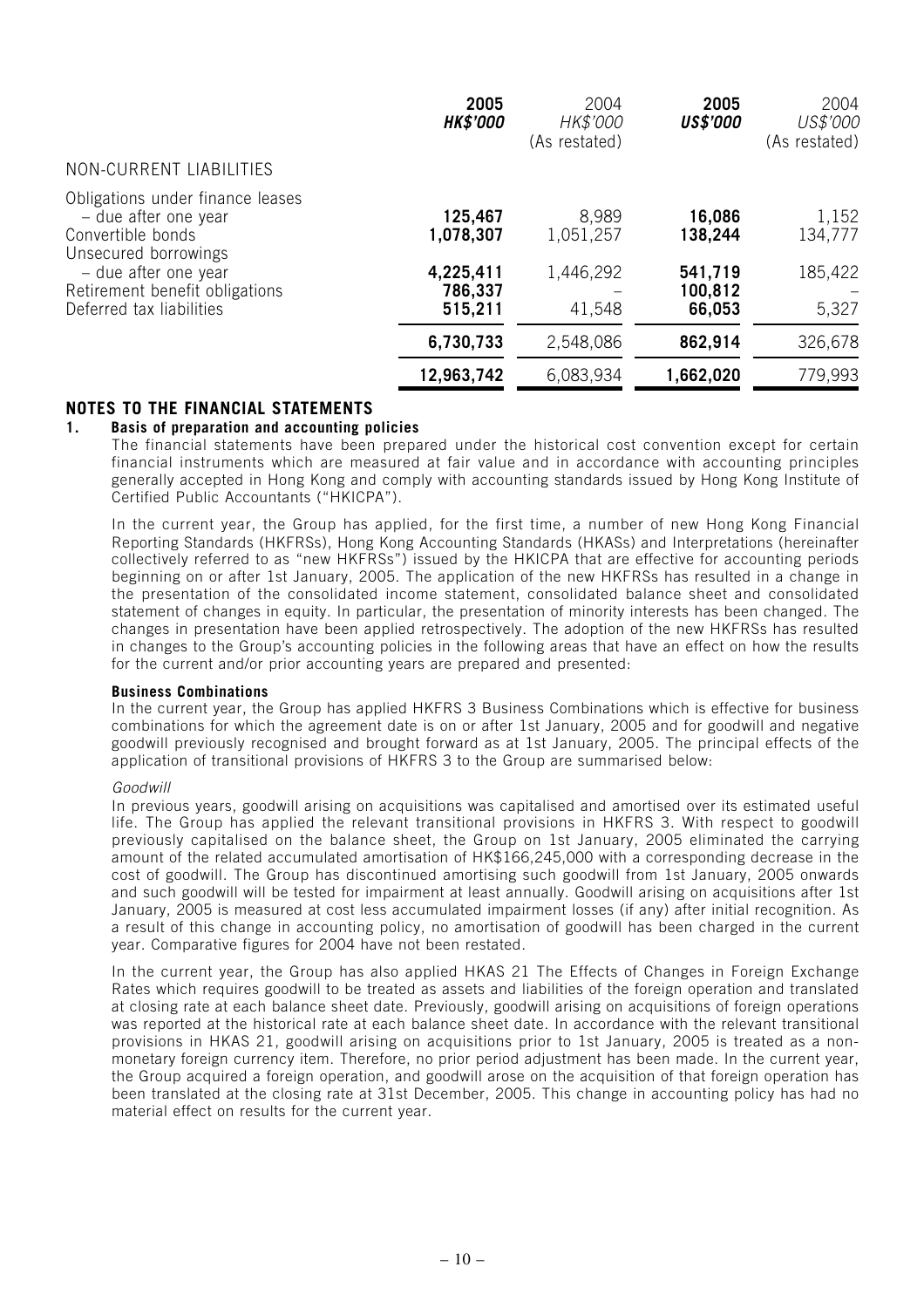|                                                                                                                                                                 | 2005<br><b>HK\$'000</b>                      | 2004<br>HK\$'000<br>(As restated) | 2005<br><b>US\$'000</b>                 | 2004<br>US\$'000<br>(As restated) |
|-----------------------------------------------------------------------------------------------------------------------------------------------------------------|----------------------------------------------|-----------------------------------|-----------------------------------------|-----------------------------------|
| NON-CURRENT LIABILITIES                                                                                                                                         |                                              |                                   |                                         |                                   |
| Obligations under finance leases<br>- due after one year<br>Convertible bonds<br>Unsecured borrowings<br>- due after one year<br>Retirement benefit obligations | 125,467<br>1,078,307<br>4,225,411<br>786,337 | 8,989<br>1,051,257<br>1,446,292   | 16,086<br>138,244<br>541,719<br>100,812 | 1,152<br>134,777<br>185,422       |
| Deferred tax liabilities                                                                                                                                        | 515,211                                      | 41,548                            | 66,053                                  | 5,327                             |
|                                                                                                                                                                 | 6,730,733                                    | 2,548,086                         | 862,914                                 | 326,678                           |
|                                                                                                                                                                 | 12,963,742                                   | 6,083,934                         | 1,662,020                               | 779,993                           |

## **NOTES TO THE FINANCIAL STATEMENTS**

#### **1. Basis of preparation and accounting policies**

The financial statements have been prepared under the historical cost convention except for certain financial instruments which are measured at fair value and in accordance with accounting principles generally accepted in Hong Kong and comply with accounting standards issued by Hong Kong Institute of Certified Public Accountants ("HKICPA").

In the current year, the Group has applied, for the first time, a number of new Hong Kong Financial Reporting Standards (HKFRSs), Hong Kong Accounting Standards (HKASs) and Interpretations (hereinafter collectively referred to as "new HKFRSs") issued by the HKICPA that are effective for accounting periods beginning on or after 1st January, 2005. The application of the new HKFRSs has resulted in a change in the presentation of the consolidated income statement, consolidated balance sheet and consolidated statement of changes in equity. In particular, the presentation of minority interests has been changed. The changes in presentation have been applied retrospectively. The adoption of the new HKFRSs has resulted in changes to the Group's accounting policies in the following areas that have an effect on how the results for the current and/or prior accounting years are prepared and presented:

#### **Business Combinations**

In the current year, the Group has applied HKFRS 3 Business Combinations which is effective for business combinations for which the agreement date is on or after 1st January, 2005 and for goodwill and negative goodwill previously recognised and brought forward as at 1st January, 2005. The principal effects of the application of transitional provisions of HKFRS 3 to the Group are summarised below:

#### Goodwill

In previous years, goodwill arising on acquisitions was capitalised and amortised over its estimated useful life. The Group has applied the relevant transitional provisions in HKFRS 3. With respect to goodwill previously capitalised on the balance sheet, the Group on 1st January, 2005 eliminated the carrying amount of the related accumulated amortisation of HK\$166,245,000 with a corresponding decrease in the cost of goodwill. The Group has discontinued amortising such goodwill from 1st January, 2005 onwards and such goodwill will be tested for impairment at least annually. Goodwill arising on acquisitions after 1st January, 2005 is measured at cost less accumulated impairment losses (if any) after initial recognition. As a result of this change in accounting policy, no amortisation of goodwill has been charged in the current year. Comparative figures for 2004 have not been restated.

In the current year, the Group has also applied HKAS 21 The Effects of Changes in Foreign Exchange Rates which requires goodwill to be treated as assets and liabilities of the foreign operation and translated at closing rate at each balance sheet date. Previously, goodwill arising on acquisitions of foreign operations was reported at the historical rate at each balance sheet date. In accordance with the relevant transitional provisions in HKAS 21, goodwill arising on acquisitions prior to 1st January, 2005 is treated as a nonmonetary foreign currency item. Therefore, no prior period adjustment has been made. In the current year, the Group acquired a foreign operation, and goodwill arose on the acquisition of that foreign operation has been translated at the closing rate at 31st December, 2005. This change in accounting policy has had no material effect on results for the current year.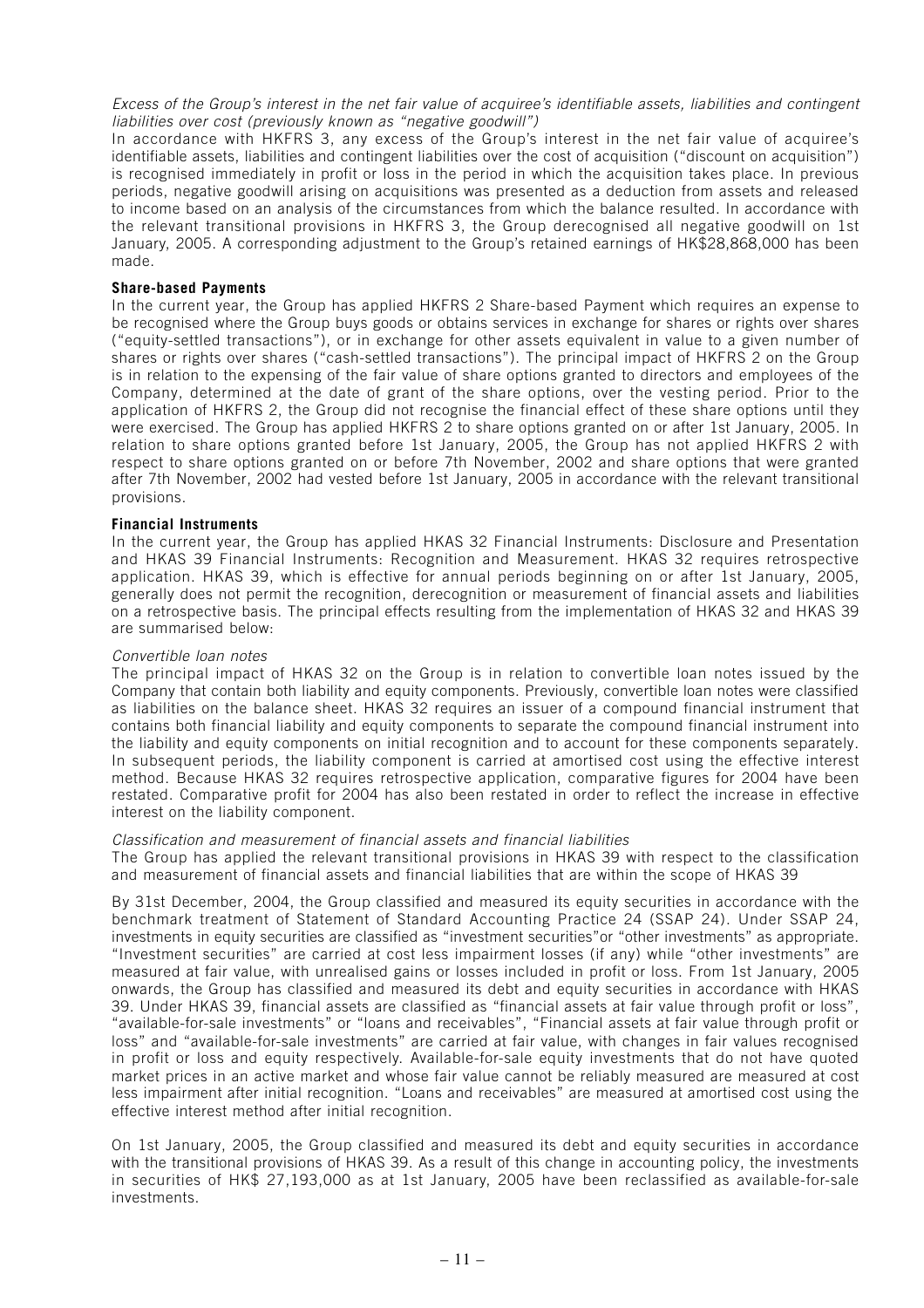Excess of the Group's interest in the net fair value of acquiree's identifiable assets, liabilities and contingent liabilities over cost (previously known as "negative goodwill")

In accordance with HKFRS 3, any excess of the Group's interest in the net fair value of acquiree's identifiable assets, liabilities and contingent liabilities over the cost of acquisition ("discount on acquisition") is recognised immediately in profit or loss in the period in which the acquisition takes place. In previous periods, negative goodwill arising on acquisitions was presented as a deduction from assets and released to income based on an analysis of the circumstances from which the balance resulted. In accordance with the relevant transitional provisions in HKFRS 3, the Group derecognised all negative goodwill on 1st January, 2005. A corresponding adjustment to the Group's retained earnings of HK\$28,868,000 has been made.

#### **Share-based Payments**

In the current year, the Group has applied HKFRS 2 Share-based Payment which requires an expense to be recognised where the Group buys goods or obtains services in exchange for shares or rights over shares ("equity-settled transactions"), or in exchange for other assets equivalent in value to a given number of shares or rights over shares ("cash-settled transactions"). The principal impact of HKFRS 2 on the Group is in relation to the expensing of the fair value of share options granted to directors and employees of the Company, determined at the date of grant of the share options, over the vesting period. Prior to the application of HKFRS 2, the Group did not recognise the financial effect of these share options until they were exercised. The Group has applied HKFRS 2 to share options granted on or after 1st January, 2005. In relation to share options granted before 1st January, 2005, the Group has not applied HKFRS 2 with respect to share options granted on or before 7th November, 2002 and share options that were granted after 7th November, 2002 had vested before 1st January, 2005 in accordance with the relevant transitional provisions.

#### **Financial Instruments**

In the current year, the Group has applied HKAS 32 Financial Instruments: Disclosure and Presentation and HKAS 39 Financial Instruments: Recognition and Measurement. HKAS 32 requires retrospective application. HKAS 39, which is effective for annual periods beginning on or after 1st January, 2005, generally does not permit the recognition, derecognition or measurement of financial assets and liabilities on a retrospective basis. The principal effects resulting from the implementation of HKAS 32 and HKAS 39 are summarised below:

#### Convertible loan notes

The principal impact of HKAS 32 on the Group is in relation to convertible loan notes issued by the Company that contain both liability and equity components. Previously, convertible loan notes were classified as liabilities on the balance sheet. HKAS 32 requires an issuer of a compound financial instrument that contains both financial liability and equity components to separate the compound financial instrument into the liability and equity components on initial recognition and to account for these components separately. In subsequent periods, the liability component is carried at amortised cost using the effective interest method. Because HKAS 32 requires retrospective application, comparative figures for 2004 have been restated. Comparative profit for 2004 has also been restated in order to reflect the increase in effective interest on the liability component.

#### Classification and measurement of financial assets and financial liabilities

The Group has applied the relevant transitional provisions in HKAS 39 with respect to the classification and measurement of financial assets and financial liabilities that are within the scope of HKAS 39

By 31st December, 2004, the Group classified and measured its equity securities in accordance with the benchmark treatment of Statement of Standard Accounting Practice 24 (SSAP 24). Under SSAP 24, investments in equity securities are classified as "investment securities"or "other investments" as appropriate. "Investment securities" are carried at cost less impairment losses (if any) while "other investments" are measured at fair value, with unrealised gains or losses included in profit or loss. From 1st January, 2005 onwards, the Group has classified and measured its debt and equity securities in accordance with HKAS 39. Under HKAS 39, financial assets are classified as "financial assets at fair value through profit or loss", "available-for-sale investments" or "loans and receivables", "Financial assets at fair value through profit or loss" and "available-for-sale investments" are carried at fair value, with changes in fair values recognised in profit or loss and equity respectively. Available-for-sale equity investments that do not have quoted market prices in an active market and whose fair value cannot be reliably measured are measured at cost less impairment after initial recognition. "Loans and receivables" are measured at amortised cost using the effective interest method after initial recognition.

On 1st January, 2005, the Group classified and measured its debt and equity securities in accordance with the transitional provisions of HKAS 39. As a result of this change in accounting policy, the investments in securities of HK\$ 27,193,000 as at 1st January, 2005 have been reclassified as available-for-sale investments.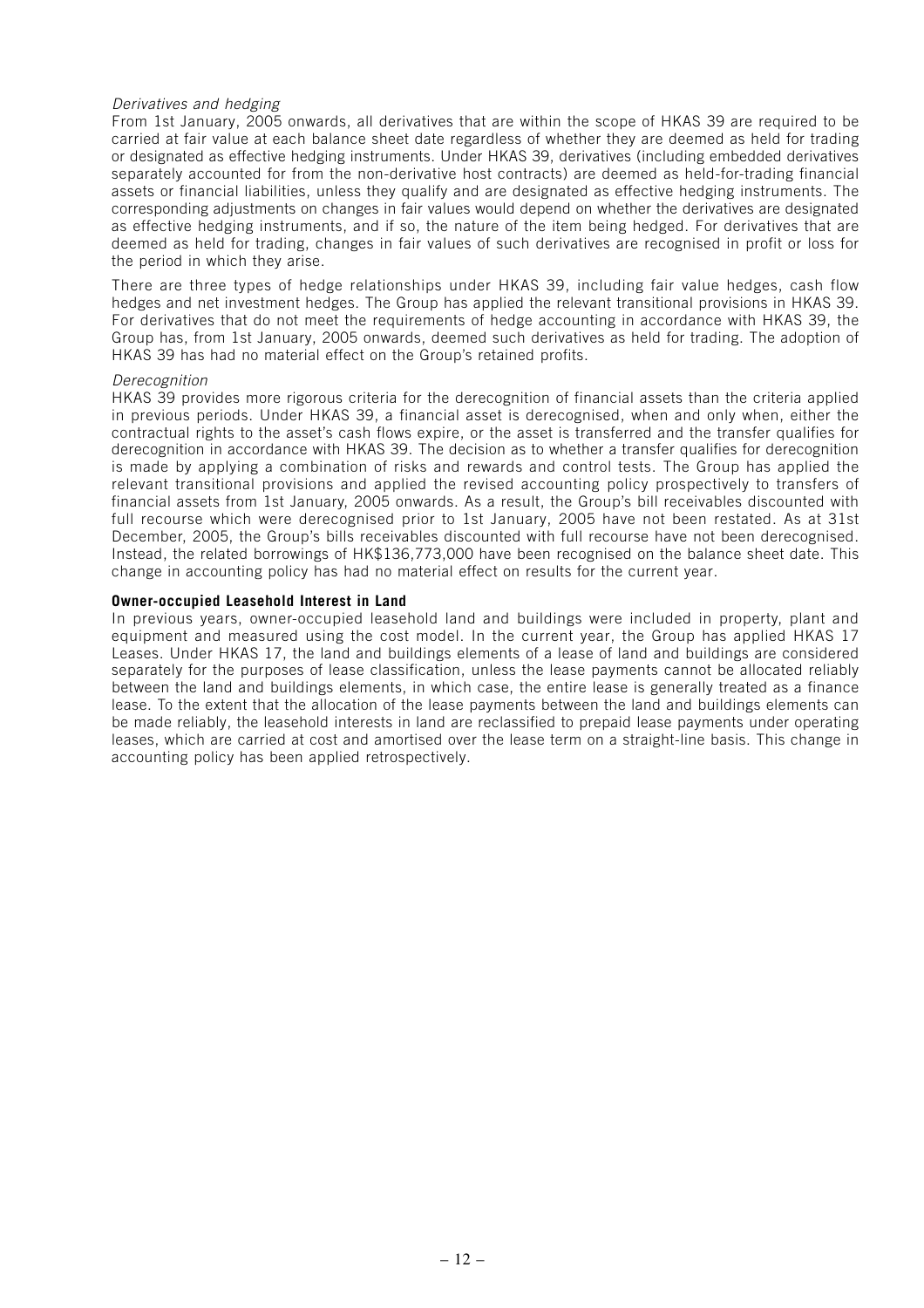#### Derivatives and hedging

From 1st January, 2005 onwards, all derivatives that are within the scope of HKAS 39 are required to be carried at fair value at each balance sheet date regardless of whether they are deemed as held for trading or designated as effective hedging instruments. Under HKAS 39, derivatives (including embedded derivatives separately accounted for from the non-derivative host contracts) are deemed as held-for-trading financial assets or financial liabilities, unless they qualify and are designated as effective hedging instruments. The corresponding adjustments on changes in fair values would depend on whether the derivatives are designated as effective hedging instruments, and if so, the nature of the item being hedged. For derivatives that are deemed as held for trading, changes in fair values of such derivatives are recognised in profit or loss for the period in which they arise.

There are three types of hedge relationships under HKAS 39, including fair value hedges, cash flow hedges and net investment hedges. The Group has applied the relevant transitional provisions in HKAS 39. For derivatives that do not meet the requirements of hedge accounting in accordance with HKAS 39, the Group has, from 1st January, 2005 onwards, deemed such derivatives as held for trading. The adoption of HKAS 39 has had no material effect on the Group's retained profits.

#### Derecognition

HKAS 39 provides more rigorous criteria for the derecognition of financial assets than the criteria applied in previous periods. Under HKAS 39, a financial asset is derecognised, when and only when, either the contractual rights to the asset's cash flows expire, or the asset is transferred and the transfer qualifies for derecognition in accordance with HKAS 39. The decision as to whether a transfer qualifies for derecognition is made by applying a combination of risks and rewards and control tests. The Group has applied the relevant transitional provisions and applied the revised accounting policy prospectively to transfers of financial assets from 1st January, 2005 onwards. As a result, the Group's bill receivables discounted with full recourse which were derecognised prior to 1st January, 2005 have not been restated. As at 31st December, 2005, the Group's bills receivables discounted with full recourse have not been derecognised. Instead, the related borrowings of HK\$136,773,000 have been recognised on the balance sheet date. This change in accounting policy has had no material effect on results for the current year.

#### **Owner-occupied Leasehold Interest in Land**

In previous years, owner-occupied leasehold land and buildings were included in property, plant and equipment and measured using the cost model. In the current year, the Group has applied HKAS 17 Leases. Under HKAS 17, the land and buildings elements of a lease of land and buildings are considered separately for the purposes of lease classification, unless the lease payments cannot be allocated reliably between the land and buildings elements, in which case, the entire lease is generally treated as a finance lease. To the extent that the allocation of the lease payments between the land and buildings elements can be made reliably, the leasehold interests in land are reclassified to prepaid lease payments under operating leases, which are carried at cost and amortised over the lease term on a straight-line basis. This change in accounting policy has been applied retrospectively.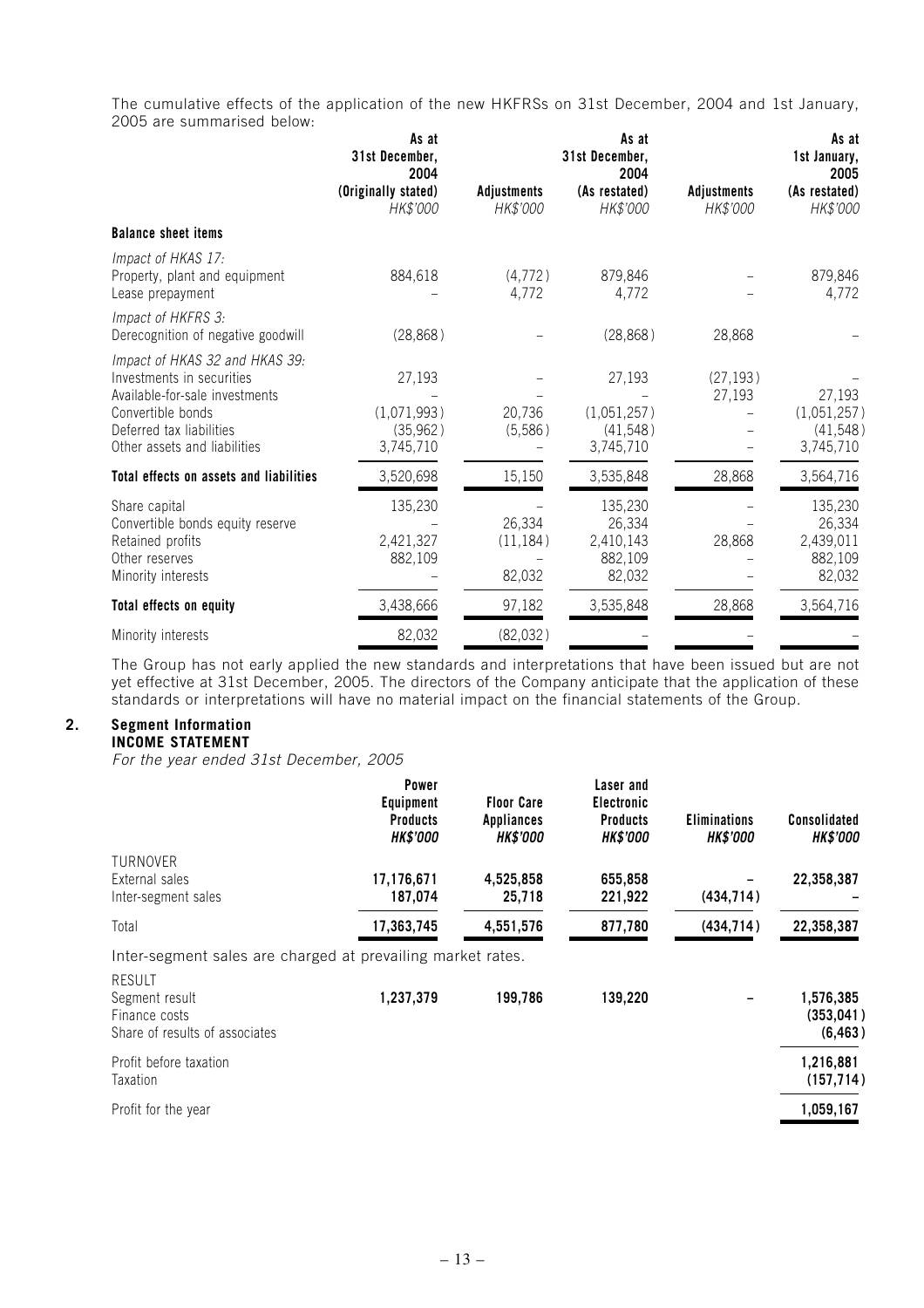The cumulative effects of the application of the new HKFRSs on 31st December, 2004 and 1st January, 2005 are summarised below:

|                                                                                                                                                                                | As at<br>31st December,<br>2004                 |                                | As at<br>31st December,<br>2004                     |                                | As at<br>1st January,<br>2005                       |
|--------------------------------------------------------------------------------------------------------------------------------------------------------------------------------|-------------------------------------------------|--------------------------------|-----------------------------------------------------|--------------------------------|-----------------------------------------------------|
|                                                                                                                                                                                | (Originally stated)<br>HK\$'000                 | <b>Adjustments</b><br>HK\$'000 | (As restated)<br>HK\$'000                           | <b>Adjustments</b><br>HK\$'000 | (As restated)<br>HK\$'000                           |
| <b>Balance sheet items</b>                                                                                                                                                     |                                                 |                                |                                                     |                                |                                                     |
| Impact of HKAS 17:<br>Property, plant and equipment<br>Lease prepayment                                                                                                        | 884,618                                         | (4,772)<br>4,772               | 879,846<br>4,772                                    |                                | 879,846<br>4,772                                    |
| Impact of HKFRS 3:<br>Derecognition of negative goodwill                                                                                                                       | (28, 868)                                       |                                | (28, 868)                                           | 28,868                         |                                                     |
| Impact of HKAS 32 and HKAS 39:<br>Investments in securities<br>Available-for-sale investments<br>Convertible bonds<br>Deferred tax liabilities<br>Other assets and liabilities | 27,193<br>(1,071,993)<br>(35, 962)<br>3,745,710 | 20,736<br>(5,586)              | 27,193<br>(1,051,257)<br>(41, 548)<br>3,745,710     | (27, 193)<br>27,193            | 27,193<br>(1,051,257)<br>(41, 548)<br>3,745,710     |
| Total effects on assets and liabilities                                                                                                                                        | 3,520,698                                       | 15,150                         | 3,535,848                                           | 28,868                         | 3,564,716                                           |
| Share capital<br>Convertible bonds equity reserve<br>Retained profits<br>Other reserves<br>Minority interests                                                                  | 135,230<br>2,421,327<br>882,109                 | 26,334<br>(11, 184)<br>82,032  | 135,230<br>26,334<br>2,410,143<br>882,109<br>82,032 | 28,868                         | 135,230<br>26,334<br>2,439,011<br>882,109<br>82,032 |
| Total effects on equity                                                                                                                                                        | 3,438,666                                       | 97,182                         | 3,535,848                                           | 28,868                         | 3,564,716                                           |
| Minority interests                                                                                                                                                             | 82,032                                          | (82,032)                       |                                                     |                                |                                                     |

The Group has not early applied the new standards and interpretations that have been issued but are not yet effective at 31st December, 2005. The directors of the Company anticipate that the application of these standards or interpretations will have no material impact on the financial statements of the Group.

## **2. Segment Information**

## **INCOME STATEMENT**

For the year ended 31st December, 2005

|                                                                                                                                                   | Power<br><b>Equipment</b><br><b>Products</b><br><b>HK\$'000</b> | <b>Floor Care</b><br><b>Appliances</b><br><b>HK\$'000</b> | Laser and<br>Electronic<br><b>Products</b><br><b>HK\$'000</b> | <b>Eliminations</b><br><b>HK\$'000</b> | <b>Consolidated</b><br><b>HK\$'000</b> |
|---------------------------------------------------------------------------------------------------------------------------------------------------|-----------------------------------------------------------------|-----------------------------------------------------------|---------------------------------------------------------------|----------------------------------------|----------------------------------------|
| TURNOVER<br>External sales<br>Inter-segment sales                                                                                                 | 17,176,671<br>187,074                                           | 4,525,858<br>25,718                                       | 655,858<br>221,922                                            | (434, 714)                             | 22,358,387                             |
| Total                                                                                                                                             | 17,363,745                                                      | 4,551,576                                                 | 877,780                                                       | (434, 714)                             | 22,358,387                             |
| Inter-segment sales are charged at prevailing market rates.<br><b>RESULT</b><br>Segment result<br>Finance costs<br>Share of results of associates | 1,237,379                                                       | 199,786                                                   | 139,220                                                       |                                        | 1,576,385<br>(353, 041)<br>(6, 463)    |
| Profit before taxation<br>Taxation                                                                                                                |                                                                 |                                                           |                                                               |                                        | 1,216,881<br>(157, 714)                |
| Profit for the year                                                                                                                               |                                                                 |                                                           |                                                               |                                        | 1,059,167                              |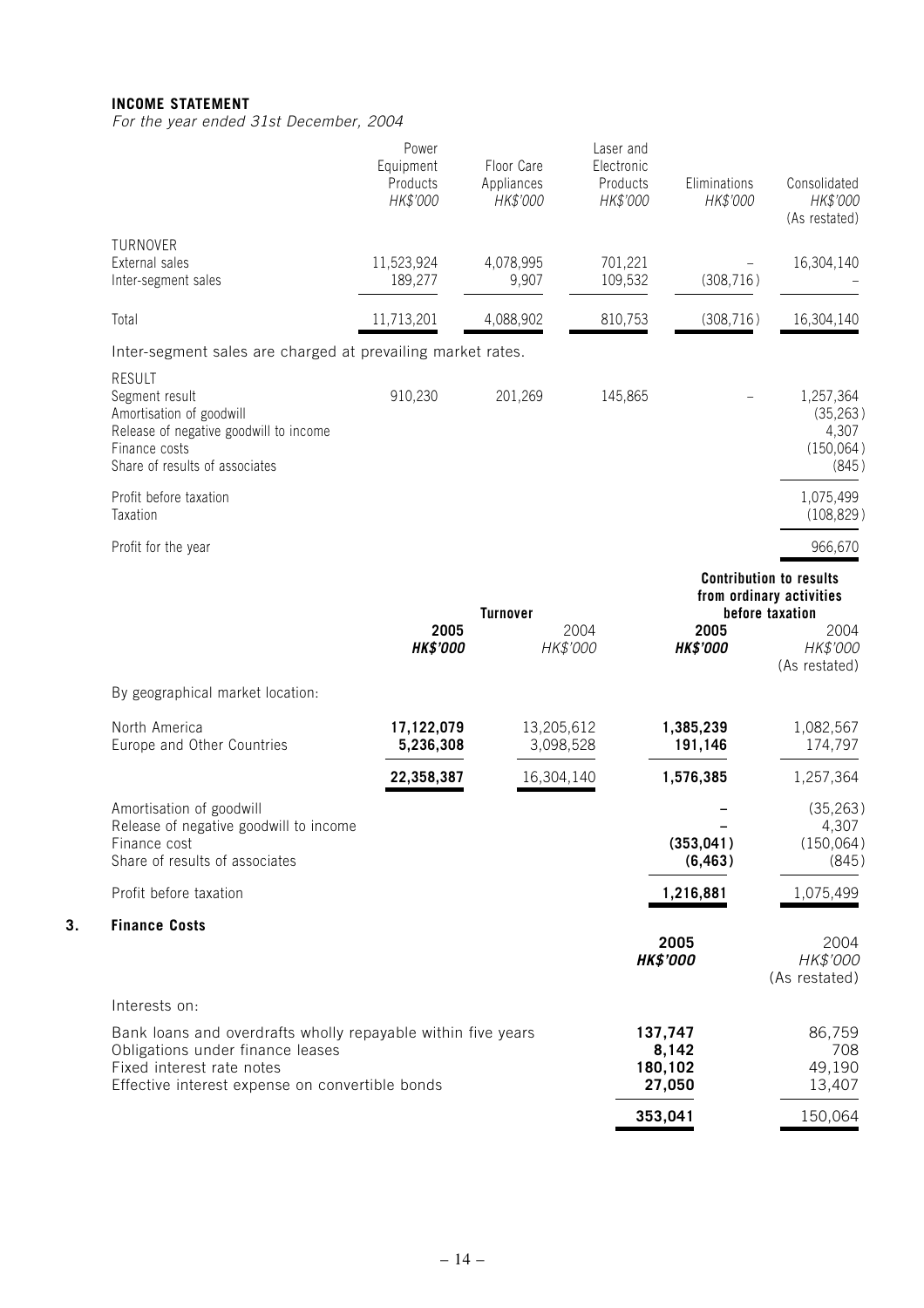## **INCOME STATEMENT**

**3. Finance Costs**

For the year ended 31st December, 2004

|                                                                                                                                                                                  | Power<br>Equipment<br>Products<br>HK\$'000 | Floor Care<br>Appliances<br>HK\$'000 | Laser and<br>Electronic<br>Products<br>HK\$'000 | Eliminations<br>HK\$'000              | Consolidated<br>HK\$'000<br>(As restated)                                                                          |
|----------------------------------------------------------------------------------------------------------------------------------------------------------------------------------|--------------------------------------------|--------------------------------------|-------------------------------------------------|---------------------------------------|--------------------------------------------------------------------------------------------------------------------|
| TURNOVER<br>External sales<br>Inter-segment sales                                                                                                                                | 11,523,924<br>189,277                      | 4,078,995<br>9,907                   | 701,221<br>109,532                              | (308, 716)                            | 16,304,140                                                                                                         |
| Total                                                                                                                                                                            | 11,713,201                                 | 4,088,902                            | 810,753                                         | (308, 716)                            | 16,304,140                                                                                                         |
| Inter-segment sales are charged at prevailing market rates.                                                                                                                      |                                            |                                      |                                                 |                                       |                                                                                                                    |
| <b>RESULT</b><br>Segment result<br>Amortisation of goodwill<br>Release of negative goodwill to income<br>Finance costs<br>Share of results of associates                         | 910,230                                    | 201,269                              | 145,865                                         |                                       | 1,257,364<br>(35, 263)<br>4,307<br>(150,064)<br>(845)                                                              |
| Profit before taxation<br>Taxation                                                                                                                                               |                                            |                                      |                                                 |                                       | 1,075,499<br>(108, 829)                                                                                            |
| Profit for the year                                                                                                                                                              |                                            |                                      |                                                 |                                       | 966,670                                                                                                            |
|                                                                                                                                                                                  | 2005<br><b>HK\$'000</b>                    | <b>Turnover</b>                      | 2004<br>HK\$'000                                | 2005<br><b>HK\$'000</b>               | <b>Contribution to results</b><br>from ordinary activities<br>before taxation<br>2004<br>HK\$'000<br>(As restated) |
| By geographical market location:                                                                                                                                                 |                                            |                                      |                                                 |                                       |                                                                                                                    |
| North America<br>Europe and Other Countries                                                                                                                                      | 17,122,079<br>5,236,308                    | 13,205,612<br>3,098,528              |                                                 | 1,385,239<br>191,146                  | 1,082,567<br>174,797                                                                                               |
|                                                                                                                                                                                  | 22,358,387                                 | 16,304,140                           |                                                 | 1,576,385                             | 1,257,364                                                                                                          |
| Amortisation of goodwill<br>Release of negative goodwill to income<br>Finance cost<br>Share of results of associates                                                             |                                            |                                      |                                                 | (353, 041)<br>(6, 463)                | (35, 263)<br>4,307<br>(150,064)<br>(845)                                                                           |
| Profit before taxation                                                                                                                                                           |                                            |                                      |                                                 | 1,216,881                             | 1,075,499                                                                                                          |
| <b>Finance Costs</b>                                                                                                                                                             |                                            |                                      |                                                 |                                       |                                                                                                                    |
|                                                                                                                                                                                  |                                            |                                      |                                                 | 2005<br><b>HK\$'000</b>               | 2004<br>HK\$'000<br>(As restated)                                                                                  |
| Interests on:                                                                                                                                                                    |                                            |                                      |                                                 |                                       |                                                                                                                    |
| Bank loans and overdrafts wholly repayable within five years<br>Obligations under finance leases<br>Fixed interest rate notes<br>Effective interest expense on convertible bonds |                                            |                                      |                                                 | 137,747<br>8,142<br>180,102<br>27,050 | 86,759<br>708<br>49,190<br>13,407                                                                                  |
|                                                                                                                                                                                  |                                            |                                      |                                                 | 353,041                               | 150,064                                                                                                            |